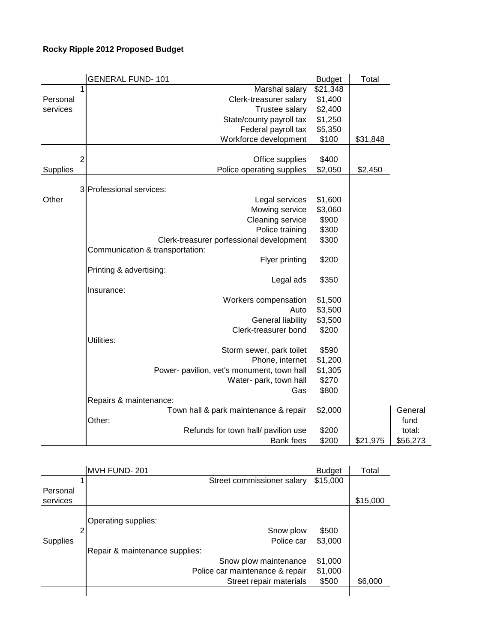## **Rocky Ripple 2012 Proposed Budget**

|          |   | <b>GENERAL FUND-101</b>                    | <b>Budget</b> | Total    |          |
|----------|---|--------------------------------------------|---------------|----------|----------|
|          |   | Marshal salary                             | \$21,348      |          |          |
| Personal |   | Clerk-treasurer salary                     | \$1,400       |          |          |
| services |   | Trustee salary                             | \$2,400       |          |          |
|          |   | State/county payroll tax                   | \$1,250       |          |          |
|          |   | Federal payroll tax                        | \$5,350       |          |          |
|          |   | Workforce development                      | \$100         | \$31,848 |          |
|          | 2 | Office supplies                            | \$400         |          |          |
| Supplies |   | Police operating supplies                  | \$2,050       | \$2,450  |          |
|          |   |                                            |               |          |          |
|          |   | 3 Professional services:                   |               |          |          |
| Other    |   | Legal services                             | \$1,600       |          |          |
|          |   | Mowing service                             | \$3,060       |          |          |
|          |   | Cleaning service                           | \$900         |          |          |
|          |   | Police training                            | \$300         |          |          |
|          |   | Clerk-treasurer porfessional development   | \$300         |          |          |
|          |   | Communication & transportation:            |               |          |          |
|          |   | Flyer printing                             | \$200         |          |          |
|          |   | Printing & advertising:                    |               |          |          |
|          |   | Legal ads                                  | \$350         |          |          |
|          |   | Insurance:                                 |               |          |          |
|          |   | Workers compensation                       | \$1,500       |          |          |
|          |   | Auto                                       | \$3,500       |          |          |
|          |   | General liability                          | \$3,500       |          |          |
|          |   | Clerk-treasurer bond                       | \$200         |          |          |
|          |   | Utilities:                                 |               |          |          |
|          |   | Storm sewer, park toilet                   | \$590         |          |          |
|          |   | Phone, internet                            | \$1,200       |          |          |
|          |   | Power- pavilion, vet's monument, town hall | \$1,305       |          |          |
|          |   | Water- park, town hall                     | \$270         |          |          |
|          |   | Gas                                        | \$800         |          |          |
|          |   | Repairs & maintenance:                     |               |          |          |
|          |   | Town hall & park maintenance & repair      | \$2,000       |          | General  |
|          |   | Other:                                     |               |          | fund     |
|          |   | Refunds for town hall/ pavilion use        | \$200         |          | total:   |
|          |   | <b>Bank</b> fees                           | \$200         | \$21,975 | \$56,273 |

|                 |   | MVH FUND-201                    | <b>Budget</b> | Total    |
|-----------------|---|---------------------------------|---------------|----------|
|                 |   | Street commissioner salary      | \$15,000      |          |
| Personal        |   |                                 |               |          |
| services        |   |                                 |               | \$15,000 |
|                 |   |                                 |               |          |
|                 |   | Operating supplies:             |               |          |
|                 | ≘ | Snow plow                       | \$500         |          |
| <b>Supplies</b> |   | Police car                      | \$3,000       |          |
|                 |   | Repair & maintenance supplies:  |               |          |
|                 |   | Snow plow maintenance           | \$1,000       |          |
|                 |   | Police car maintenance & repair | \$1,000       |          |
|                 |   | Street repair materials         | \$500         | \$6,000  |
|                 |   |                                 |               |          |